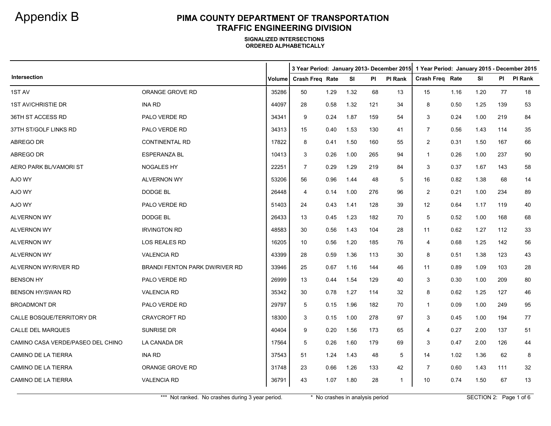|                                   |                                       |               |                 |      |      |     | 3 Year Period: January 2013- December 2015   1 Year Period: January 2015 - December 2015 |                        |      |      |     |         |  |
|-----------------------------------|---------------------------------------|---------------|-----------------|------|------|-----|------------------------------------------------------------------------------------------|------------------------|------|------|-----|---------|--|
| Intersection                      |                                       | <b>Volume</b> | Crash Freq Rate |      | SI   | PI  | <b>PI Rank</b>                                                                           | <b>Crash Freq Rate</b> |      | SI   | PI  | PI Rank |  |
| 1ST AV                            | ORANGE GROVE RD                       | 35286         | 50              | 1.29 | 1.32 | 68  | 13                                                                                       | 15                     | 1.16 | 1.20 | 77  | 18      |  |
| <b>1ST AV/CHRISTIE DR</b>         | <b>INA RD</b>                         | 44097         | 28              | 0.58 | 1.32 | 121 | 34                                                                                       | 8                      | 0.50 | 1.25 | 139 | 53      |  |
| 36TH ST ACCESS RD                 | PALO VERDE RD                         | 34341         | 9               | 0.24 | 1.87 | 159 | 54                                                                                       | 3                      | 0.24 | 1.00 | 219 | 84      |  |
| 37TH ST/GOLF LINKS RD             | PALO VERDE RD                         | 34313         | 15              | 0.40 | 1.53 | 130 | 41                                                                                       | $\overline{7}$         | 0.56 | 1.43 | 114 | 35      |  |
| ABREGO DR                         | <b>CONTINENTAL RD</b>                 | 17822         | 8               | 0.41 | 1.50 | 160 | 55                                                                                       | 2                      | 0.31 | 1.50 | 167 | 66      |  |
| ABREGO DR                         | <b>ESPERANZA BL</b>                   | 10413         | 3               | 0.26 | 1.00 | 265 | 94                                                                                       | -1                     | 0.26 | 1.00 | 237 | 90      |  |
| AERO PARK BL/VAMORI ST            | <b>NOGALES HY</b>                     | 22251         | $\overline{7}$  | 0.29 | 1.29 | 219 | 84                                                                                       | 3                      | 0.37 | 1.67 | 143 | 58      |  |
| AJO WY                            | <b>ALVERNON WY</b>                    | 53206         | 56              | 0.96 | 1.44 | 48  | 5                                                                                        | 16                     | 0.82 | 1.38 | 68  | 14      |  |
| AJO WY                            | DODGE BL                              | 26448         | $\overline{4}$  | 0.14 | 1.00 | 276 | 96                                                                                       | 2                      | 0.21 | 1.00 | 234 | 89      |  |
| AJO WY                            | PALO VERDE RD                         | 51403         | 24              | 0.43 | 1.41 | 128 | 39                                                                                       | 12                     | 0.64 | 1.17 | 119 | 40      |  |
| <b>ALVERNON WY</b>                | DODGE BL                              | 26433         | 13              | 0.45 | 1.23 | 182 | 70                                                                                       | 5                      | 0.52 | 1.00 | 168 | 68      |  |
| <b>ALVERNON WY</b>                | <b>IRVINGTON RD</b>                   | 48583         | 30              | 0.56 | 1.43 | 104 | 28                                                                                       | 11                     | 0.62 | 1.27 | 112 | 33      |  |
| <b>ALVERNON WY</b>                | <b>LOS REALES RD</b>                  | 16205         | 10              | 0.56 | 1.20 | 185 | 76                                                                                       | 4                      | 0.68 | 1.25 | 142 | 56      |  |
| <b>ALVERNON WY</b>                | <b>VALENCIA RD</b>                    | 43399         | 28              | 0.59 | 1.36 | 113 | 30                                                                                       | 8                      | 0.51 | 1.38 | 123 | 43      |  |
| ALVERNON WY/RIVER RD              | <b>BRANDI FENTON PARK DW/RIVER RD</b> | 33946         | 25              | 0.67 | 1.16 | 144 | 46                                                                                       | 11                     | 0.89 | 1.09 | 103 | 28      |  |
| <b>BENSON HY</b>                  | <b>PALO VERDE RD</b>                  | 26999         | 13              | 0.44 | 1.54 | 129 | 40                                                                                       | 3                      | 0.30 | 1.00 | 209 | 80      |  |
| <b>BENSON HY/SWAN RD</b>          | <b>VALENCIA RD</b>                    | 35342         | 30              | 0.78 | 1.27 | 114 | 32                                                                                       | 8                      | 0.62 | 1.25 | 127 | 46      |  |
| <b>BROADMONT DR</b>               | PALO VERDE RD                         | 29797         | 5               | 0.15 | 1.96 | 182 | 70                                                                                       | 1                      | 0.09 | 1.00 | 249 | 95      |  |
| CALLE BOSQUE/TERRITORY DR         | <b>CRAYCROFT RD</b>                   | 18300         | 3               | 0.15 | 1.00 | 278 | 97                                                                                       | 3                      | 0.45 | 1.00 | 194 | 77      |  |
| <b>CALLE DEL MARQUES</b>          | <b>SUNRISE DR</b>                     | 40404         | 9               | 0.20 | 1.56 | 173 | 65                                                                                       | 4                      | 0.27 | 2.00 | 137 | 51      |  |
| CAMINO CASA VERDE/PASEO DEL CHINO | LA CANADA DR                          | 17564         | 5               | 0.26 | 1.60 | 179 | 69                                                                                       | 3                      | 0.47 | 2.00 | 126 | 44      |  |
| CAMINO DE LA TIERRA               | <b>INA RD</b>                         | 37543         | 51              | 1.24 | 1.43 | 48  | 5                                                                                        | 14                     | 1.02 | 1.36 | 62  | 8       |  |
| CAMINO DE LA TIERRA               | ORANGE GROVE RD                       | 31748         | 23              | 0.66 | 1.26 | 133 | 42                                                                                       | 7                      | 0.60 | 1.43 | 111 | 32      |  |
| CAMINO DE LA TIERRA               | <b>VALENCIA RD</b>                    | 36791         | 43              | 1.07 | 1.80 | 28  | $\overline{1}$                                                                           | 10                     | 0.74 | 1.50 | 67  | 13      |  |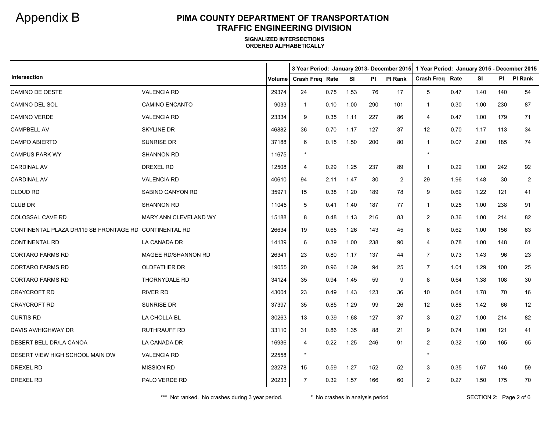|                                                        |                       |        |                 |      |           |     |                | 3 Year Period: January 2013- December 2015 1 Year Period: January 2015 - December 2015 |      |      |           |                |
|--------------------------------------------------------|-----------------------|--------|-----------------|------|-----------|-----|----------------|----------------------------------------------------------------------------------------|------|------|-----------|----------------|
| Intersection                                           |                       | Volume | Crash Freq Rate |      | <b>SI</b> | PI  | <b>PI Rank</b> | <b>Crash Freg Rate</b>                                                                 |      | SI   | <b>PI</b> | PI Rank        |
| CAMINO DE OESTE                                        | <b>VALENCIA RD</b>    | 29374  | 24              | 0.75 | 1.53      | 76  | 17             | 5                                                                                      | 0.47 | 1.40 | 140       | 54             |
| CAMINO DEL SOL                                         | <b>CAMINO ENCANTO</b> | 9033   | -1              | 0.10 | 1.00      | 290 | 101            | $\mathbf{1}$                                                                           | 0.30 | 1.00 | 230       | 87             |
| <b>CAMINO VERDE</b>                                    | <b>VALENCIA RD</b>    | 23334  | 9               | 0.35 | 1.11      | 227 | 86             | $\overline{4}$                                                                         | 0.47 | 1.00 | 179       | 71             |
| <b>CAMPBELL AV</b>                                     | <b>SKYLINE DR</b>     | 46882  | 36              | 0.70 | 1.17      | 127 | 37             | 12                                                                                     | 0.70 | 1.17 | 113       | 34             |
| CAMPO ABIERTO                                          | SUNRISE DR            | 37188  | 6               | 0.15 | 1.50      | 200 | 80             | $\overline{1}$                                                                         | 0.07 | 2.00 | 185       | 74             |
| <b>CAMPUS PARK WY</b>                                  | <b>SHANNON RD</b>     | 11675  | $\star$         |      |           |     |                | $\star$                                                                                |      |      |           |                |
| <b>CARDINAL AV</b>                                     | DREXEL RD             | 12508  | 4               | 0.29 | 1.25      | 237 | 89             | $\overline{1}$                                                                         | 0.22 | 1.00 | 242       | 92             |
| <b>CARDINAL AV</b>                                     | <b>VALENCIA RD</b>    | 40610  | 94              | 2.11 | 1.47      | 30  | 2              | 29                                                                                     | 1.96 | 1.48 | 30        | $\overline{2}$ |
| <b>CLOUD RD</b>                                        | SABINO CANYON RD      | 35971  | 15              | 0.38 | 1.20      | 189 | 78             | 9                                                                                      | 0.69 | 1.22 | 121       | 41             |
| <b>CLUB DR</b>                                         | <b>SHANNON RD</b>     | 11045  | 5               | 0.41 | 1.40      | 187 | 77             | $\mathbf{1}$                                                                           | 0.25 | 1.00 | 238       | 91             |
| COLOSSAL CAVE RD                                       | MARY ANN CLEVELAND WY | 15188  | 8               | 0.48 | 1.13      | 216 | 83             | 2                                                                                      | 0.36 | 1.00 | 214       | 82             |
| CONTINENTAL PLAZA DR/I19 SB FRONTAGE RD CONTINENTAL RD |                       | 26634  | 19              | 0.65 | 1.26      | 143 | 45             | 6                                                                                      | 0.62 | 1.00 | 156       | 63             |
| <b>CONTINENTAL RD</b>                                  | LA CANADA DR          | 14139  | 6               | 0.39 | 1.00      | 238 | 90             | $\overline{4}$                                                                         | 0.78 | 1.00 | 148       | 61             |
| <b>CORTARO FARMS RD</b>                                | MAGEE RD/SHANNON RD   | 26341  | 23              | 0.80 | 1.17      | 137 | 44             | $\overline{7}$                                                                         | 0.73 | 1.43 | 96        | 23             |
| <b>CORTARO FARMS RD</b>                                | OLDFATHER DR          | 19055  | 20              | 0.96 | 1.39      | 94  | 25             | 7                                                                                      | 1.01 | 1.29 | 100       | 25             |
| CORTARO FARMS RD                                       | <b>THORNYDALE RD</b>  | 34124  | 35              | 0.94 | 1.45      | 59  | 9              | 8                                                                                      | 0.64 | 1.38 | 108       | 30             |
| <b>CRAYCROFT RD</b>                                    | <b>RIVER RD</b>       | 43004  | 23              | 0.49 | 1.43      | 123 | 36             | 10                                                                                     | 0.64 | 1.78 | 70        | 16             |
| CRAYCROFT RD                                           | SUNRISE DR            | 37397  | 35              | 0.85 | 1.29      | 99  | 26             | 12                                                                                     | 0.88 | 1.42 | 66        | 12             |
| <b>CURTIS RD</b>                                       | LA CHOLLA BL          | 30263  | 13              | 0.39 | 1.68      | 127 | 37             | 3                                                                                      | 0.27 | 1.00 | 214       | 82             |
| DAVIS AV/HIGHWAY DR                                    | <b>RUTHRAUFF RD</b>   | 33110  | 31              | 0.86 | 1.35      | 88  | 21             | 9                                                                                      | 0.74 | 1.00 | 121       | 41             |
| DESERT BELL DR/LA CANOA                                | LA CANADA DR          | 16936  | 4               | 0.22 | 1.25      | 246 | 91             | 2                                                                                      | 0.32 | 1.50 | 165       | 65             |
| DESERT VIEW HIGH SCHOOL MAIN DW                        | <b>VALENCIA RD</b>    | 22558  | $\star$         |      |           |     |                | $\star$                                                                                |      |      |           |                |
| <b>DREXEL RD</b>                                       | <b>MISSION RD</b>     | 23278  | 15              | 0.59 | 1.27      | 152 | 52             | 3                                                                                      | 0.35 | 1.67 | 146       | 59             |
| <b>DREXEL RD</b>                                       | PALO VERDE RD         | 20233  | 7               | 0.32 | 1.57      | 166 | 60             | 2                                                                                      | 0.27 | 1.50 | 175       | 70             |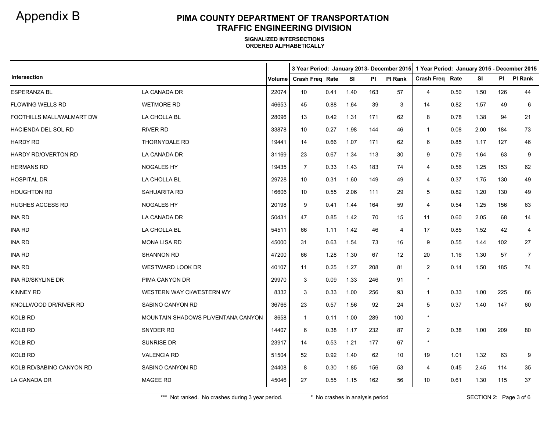|                           |                                    |               | 3 Year Period: January 2013- December 2015 |      |      |     |         | 1 Year Period: January 2015 - December 2015 |      |      |     |                |  |
|---------------------------|------------------------------------|---------------|--------------------------------------------|------|------|-----|---------|---------------------------------------------|------|------|-----|----------------|--|
| Intersection              |                                    | <b>Volume</b> | Crash Freq Rate                            |      | SI   | PI  | PI Rank | Crash Freq Rate                             |      | SI   | PI  | <b>PI Rank</b> |  |
| <b>ESPERANZA BL</b>       | LA CANADA DR                       | 22074         | 10                                         | 0.41 | 1.40 | 163 | 57      | 4                                           | 0.50 | 1.50 | 126 | 44             |  |
| FLOWING WELLS RD          | <b>WETMORE RD</b>                  | 46653         | 45                                         | 0.88 | 1.64 | 39  | 3       | 14                                          | 0.82 | 1.57 | 49  | 6              |  |
| FOOTHILLS MALL/WALMART DW | LA CHOLLA BL                       | 28096         | 13                                         | 0.42 | 1.31 | 171 | 62      | 8                                           | 0.78 | 1.38 | 94  | 21             |  |
| HACIENDA DEL SOL RD       | <b>RIVER RD</b>                    | 33878         | 10                                         | 0.27 | 1.98 | 144 | 46      | $\mathbf 1$                                 | 0.08 | 2.00 | 184 | 73             |  |
| <b>HARDY RD</b>           | THORNYDALE RD                      | 19441         | 14                                         | 0.66 | 1.07 | 171 | 62      | 6                                           | 0.85 | 1.17 | 127 | 46             |  |
| HARDY RD/OVERTON RD       | LA CANADA DR                       | 31169         | 23                                         | 0.67 | 1.34 | 113 | 30      | 9                                           | 0.79 | 1.64 | 63  | 9              |  |
| <b>HERMANS RD</b>         | <b>NOGALES HY</b>                  | 19435         | 7                                          | 0.33 | 1.43 | 183 | 74      | 4                                           | 0.56 | 1.25 | 153 | 62             |  |
| <b>HOSPITAL DR</b>        | LA CHOLLA BL                       | 29728         | 10                                         | 0.31 | 1.60 | 149 | 49      | 4                                           | 0.37 | 1.75 | 130 | 49             |  |
| <b>HOUGHTON RD</b>        | <b>SAHUARITA RD</b>                | 16606         | 10                                         | 0.55 | 2.06 | 111 | 29      | 5                                           | 0.82 | 1.20 | 130 | 49             |  |
| HUGHES ACCESS RD          | <b>NOGALES HY</b>                  | 20198         | 9                                          | 0.41 | 1.44 | 164 | 59      | 4                                           | 0.54 | 1.25 | 156 | 63             |  |
| INA RD                    | LA CANADA DR                       | 50431         | 47                                         | 0.85 | 1.42 | 70  | 15      | 11                                          | 0.60 | 2.05 | 68  | 14             |  |
| <b>INA RD</b>             | LA CHOLLA BL                       | 54511         | 66                                         | 1.11 | 1.42 | 46  | 4       | 17                                          | 0.85 | 1.52 | 42  | 4              |  |
| <b>INA RD</b>             | <b>MONA LISA RD</b>                | 45000         | 31                                         | 0.63 | 1.54 | 73  | 16      | 9                                           | 0.55 | 1.44 | 102 | 27             |  |
| <b>INA RD</b>             | <b>SHANNON RD</b>                  | 47200         | 66                                         | 1.28 | 1.30 | 67  | 12      | 20                                          | 1.16 | 1.30 | 57  | $\overline{7}$ |  |
| <b>INA RD</b>             | <b>WESTWARD LOOK DR</b>            | 40107         | 11                                         | 0.25 | 1.27 | 208 | 81      | $\overline{2}$                              | 0.14 | 1.50 | 185 | 74             |  |
| INA RD/SKYLINE DR         | PIMA CANYON DR                     | 29970         | 3                                          | 0.09 | 1.33 | 246 | 91      | $\star$                                     |      |      |     |                |  |
| <b>KINNEY RD</b>          | WESTERN WAY CI/WESTERN WY          | 8332          | 3                                          | 0.33 | 1.00 | 256 | 93      | $\mathbf 1$                                 | 0.33 | 1.00 | 225 | 86             |  |
| KNOLLWOOD DR/RIVER RD     | SABINO CANYON RD                   | 36766         | 23                                         | 0.57 | 1.56 | 92  | 24      | 5                                           | 0.37 | 1.40 | 147 | 60             |  |
| KOLB RD                   | MOUNTAIN SHADOWS PL/VENTANA CANYON | 8658          | $\mathbf{1}$                               | 0.11 | 1.00 | 289 | 100     | $\star$                                     |      |      |     |                |  |
| <b>KOLB RD</b>            | SNYDER RD                          | 14407         | 6                                          | 0.38 | 1.17 | 232 | 87      | 2                                           | 0.38 | 1.00 | 209 | 80             |  |
| <b>KOLB RD</b>            | <b>SUNRISE DR</b>                  | 23917         | 14                                         | 0.53 | 1.21 | 177 | 67      | $\star$                                     |      |      |     |                |  |
| KOLB RD                   | <b>VALENCIA RD</b>                 | 51504         | 52                                         | 0.92 | 1.40 | 62  | 10      | 19                                          | 1.01 | 1.32 | 63  | 9              |  |
| KOLB RD/SABINO CANYON RD  | SABINO CANYON RD                   | 24408         | 8                                          | 0.30 | 1.85 | 156 | 53      | 4                                           | 0.45 | 2.45 | 114 | 35             |  |
| LA CANADA DR              | MAGEE RD                           | 45046         | 27                                         | 0.55 | 1.15 | 162 | 56      | 10                                          | 0.61 | 1.30 | 115 | 37             |  |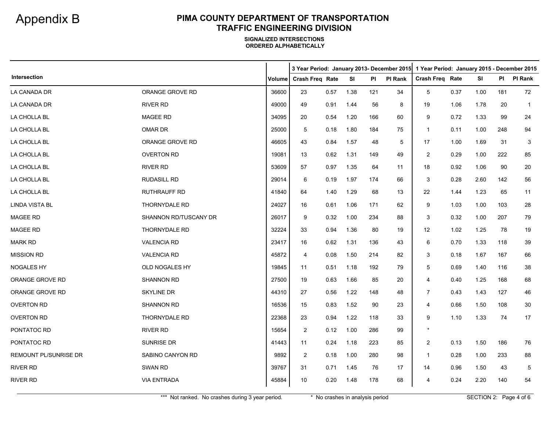|                       |                       |        |                 |      |      |     |                | 3 Year Period: January 2013- December 2015   1 Year Period: January 2015 - December 2015 |      |      |     |              |
|-----------------------|-----------------------|--------|-----------------|------|------|-----|----------------|------------------------------------------------------------------------------------------|------|------|-----|--------------|
| Intersection          |                       | Volume | Crash Freq Rate |      | SI   | PI  | <b>PI Rank</b> | Crash Freq Rate                                                                          |      | SI   | PI  | PI Rank      |
| LA CANADA DR          | ORANGE GROVE RD       | 36600  | 23              | 0.57 | 1.38 | 121 | 34             | 5                                                                                        | 0.37 | 1.00 | 181 | 72           |
| LA CANADA DR          | RIVER RD              | 49000  | 49              | 0.91 | 1.44 | 56  | 8              | 19                                                                                       | 1.06 | 1.78 | 20  | $\mathbf{1}$ |
| LA CHOLLA BL          | <b>MAGEE RD</b>       | 34095  | 20              | 0.54 | 1.20 | 166 | 60             | 9                                                                                        | 0.72 | 1.33 | 99  | 24           |
| LA CHOLLA BL          | OMAR DR               | 25000  | 5               | 0.18 | 1.80 | 184 | 75             | $\mathbf{1}$                                                                             | 0.11 | 1.00 | 248 | 94           |
| LA CHOLLA BL          | ORANGE GROVE RD       | 46605  | 43              | 0.84 | 1.57 | 48  | 5              | 17                                                                                       | 1.00 | 1.69 | 31  | 3            |
| LA CHOLLA BL          | <b>OVERTON RD</b>     | 19081  | 13              | 0.62 | 1.31 | 149 | 49             | 2                                                                                        | 0.29 | 1.00 | 222 | 85           |
| LA CHOLLA BL          | <b>RIVER RD</b>       | 53609  | 57              | 0.97 | 1.35 | 64  | 11             | 18                                                                                       | 0.92 | 1.06 | 90  | 20           |
| LA CHOLLA BL          | <b>RUDASILL RD</b>    | 29014  | 6               | 0.19 | 1.97 | 174 | 66             | 3                                                                                        | 0.28 | 2.60 | 142 | 56           |
| LA CHOLLA BL          | RUTHRAUFF RD          | 41840  | 64              | 1.40 | 1.29 | 68  | 13             | 22                                                                                       | 1.44 | 1.23 | 65  | 11           |
| <b>LINDA VISTA BL</b> | <b>THORNYDALE RD</b>  | 24027  | 16              | 0.61 | 1.06 | 171 | 62             | 9                                                                                        | 1.03 | 1.00 | 103 | 28           |
| MAGEE RD              | SHANNON RD/TUSCANY DR | 26017  | 9               | 0.32 | 1.00 | 234 | 88             | 3                                                                                        | 0.32 | 1.00 | 207 | 79           |
| MAGEE RD              | THORNYDALE RD         | 32224  | 33              | 0.94 | 1.36 | 80  | 19             | 12                                                                                       | 1.02 | 1.25 | 78  | 19           |
| <b>MARK RD</b>        | <b>VALENCIA RD</b>    | 23417  | 16              | 0.62 | 1.31 | 136 | 43             | 6                                                                                        | 0.70 | 1.33 | 118 | 39           |
| <b>MISSION RD</b>     | <b>VALENCIA RD</b>    | 45872  | 4               | 0.08 | 1.50 | 214 | 82             | 3                                                                                        | 0.18 | 1.67 | 167 | 66           |
| NOGALES HY            | OLD NOGALES HY        | 19845  | 11              | 0.51 | 1.18 | 192 | 79             | 5                                                                                        | 0.69 | 1.40 | 116 | 38           |
| ORANGE GROVE RD       | SHANNON RD            | 27500  | 19              | 0.63 | 1.66 | 85  | 20             | 4                                                                                        | 0.40 | 1.25 | 168 | 68           |
| ORANGE GROVE RD       | <b>SKYLINE DR</b>     | 44310  | 27              | 0.56 | 1.22 | 148 | 48             | 7                                                                                        | 0.43 | 1.43 | 127 | 46           |
| <b>OVERTON RD</b>     | SHANNON RD            | 16536  | 15              | 0.83 | 1.52 | 90  | 23             | $\overline{4}$                                                                           | 0.66 | 1.50 | 108 | 30           |
| <b>OVERTON RD</b>     | THORNYDALE RD         | 22368  | 23              | 0.94 | 1.22 | 118 | 33             | 9                                                                                        | 1.10 | 1.33 | 74  | 17           |
| PONTATOC RD           | RIVER RD              | 15654  | $\overline{c}$  | 0.12 | 1.00 | 286 | 99             | $\star$                                                                                  |      |      |     |              |
| PONTATOC RD           | SUNRISE DR            | 41443  | 11              | 0.24 | 1.18 | 223 | 85             | 2                                                                                        | 0.13 | 1.50 | 186 | 76           |
| REMOUNT PL/SUNRISE DR | SABINO CANYON RD      | 9892   | $\overline{2}$  | 0.18 | 1.00 | 280 | 98             | $\overline{1}$                                                                           | 0.28 | 1.00 | 233 | 88           |
| <b>RIVER RD</b>       | <b>SWAN RD</b>        | 39767  | 31              | 0.71 | 1.45 | 76  | 17             | 14                                                                                       | 0.96 | 1.50 | 43  | 5            |
| <b>RIVER RD</b>       | <b>VIA ENTRADA</b>    | 45884  | 10              | 0.20 | 1.48 | 178 | 68             | $\overline{4}$                                                                           | 0.24 | 2.20 | 140 | 54           |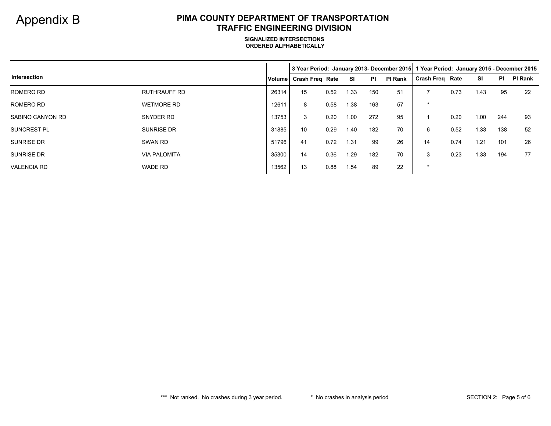|                    |                     |               |                        |      |      |           |                | 3 Year Period: January 2013- December 2015   1 Year Period: January 2015 - December 2015 |      |      |           |                |
|--------------------|---------------------|---------------|------------------------|------|------|-----------|----------------|------------------------------------------------------------------------------------------|------|------|-----------|----------------|
| Intersection       |                     | <b>Volume</b> | <b>Crash Freg Rate</b> |      | -SI  | <b>PI</b> | <b>PI Rank</b> | <b>Crash Freg Rate</b>                                                                   |      | SI   | <b>PI</b> | <b>PI Rank</b> |
| ROMERO RD          | RUTHRAUFF RD        | 26314         | 15                     | 0.52 | 1.33 | 150       | 51             |                                                                                          | 0.73 | 1.43 | 95        | -22            |
| ROMERO RD          | <b>WETMORE RD</b>   | 12611         | 8                      | 0.58 | 1.38 | 163       | 57             | $\star$                                                                                  |      |      |           |                |
| SABINO CANYON RD   | SNYDER RD           | 13753         | 3                      | 0.20 | 1.00 | 272       | 95             |                                                                                          | 0.20 | 1.00 | 244       | 93             |
| <b>SUNCREST PL</b> | <b>SUNRISE DR</b>   | 31885         | 10                     | 0.29 | 1.40 | 182       | 70             | 6                                                                                        | 0.52 | 1.33 | 138       | 52             |
| <b>SUNRISE DR</b>  | SWAN RD             | 51796         | 41                     | 0.72 | 1.31 | 99        | 26             | 14                                                                                       | 0.74 | 1.21 | 101       | 26             |
| <b>SUNRISE DR</b>  | <b>VIA PALOMITA</b> | 35300         | 14                     | 0.36 | 1.29 | 182       | 70             | 3                                                                                        | 0.23 | 1.33 | 194       | 77             |
| <b>VALENCIA RD</b> | WADE RD             | 13562         | 13                     | 0.88 | 1.54 | 89        | 22             | $\star$                                                                                  |      |      |           |                |